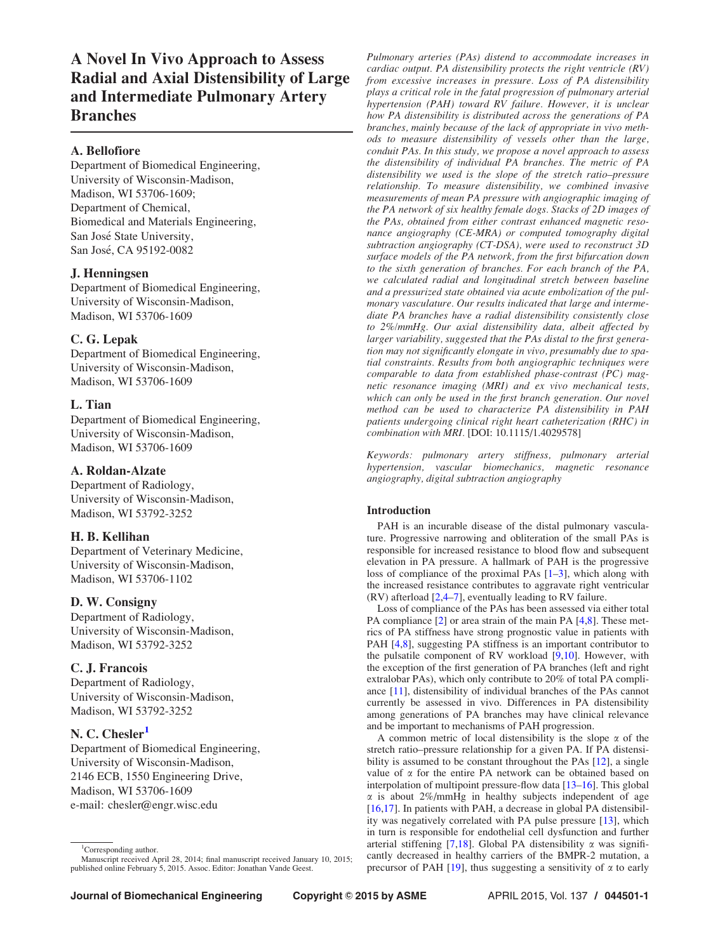A Novel In Vivo Approach to Assess Radial and Axial Distensibility of Large and Intermediate Pulmonary Artery Branches

# A. Bellofiore

Department of Biomedical Engineering, University of Wisconsin-Madison, Madison, WI 53706-1609; Department of Chemical, Biomedical and Materials Engineering, San José State University, San José, CA 95192-0082

# J. Henningsen

Department of Biomedical Engineering, University of Wisconsin-Madison, Madison, WI 53706-1609

# C. G. Lepak

Department of Biomedical Engineering, University of Wisconsin-Madison, Madison, WI 53706-1609

# L. Tian

Department of Biomedical Engineering, University of Wisconsin-Madison, Madison, WI 53706-1609

## A. Roldan-Alzate

Department of Radiology, University of Wisconsin-Madison, Madison, WI 53792-3252

# H. B. Kellihan

Department of Veterinary Medicine, University of Wisconsin-Madison, Madison, WI 53706-1102

# D. W. Consigny

Department of Radiology, University of Wisconsin-Madison, Madison, WI 53792-3252

# C. J. Francois

Department of Radiology, University of Wisconsin-Madison, Madison, WI 53792-3252

# N. C. Chesler<sup>1</sup>

Department of Biomedical Engineering, University of Wisconsin-Madison, 2146 ECB, 1550 Engineering Drive, Madison, WI 53706-1609 e-mail: chesler@engr.wisc.edu

Pulmonary arteries (PAs) distend to accommodate increases in cardiac output. PA distensibility protects the right ventricle (RV) from excessive increases in pressure. Loss of PA distensibility plays a critical role in the fatal progression of pulmonary arterial hypertension (PAH) toward RV failure. However, it is unclear how PA distensibility is distributed across the generations of PA branches, mainly because of the lack of appropriate in vivo methods to measure distensibility of vessels other than the large, conduit PAs. In this study, we propose a novel approach to assess the distensibility of individual PA branches. The metric of PA distensibility we used is the slope of the stretch ratio–pressure relationship. To measure distensibility, we combined invasive measurements of mean PA pressure with angiographic imaging of the PA network of six healthy female dogs. Stacks of 2D images of the PAs, obtained from either contrast enhanced magnetic resonance angiography (CE-MRA) or computed tomography digital subtraction angiography (CT-DSA), were used to reconstruct 3D surface models of the PA network, from the first bifurcation down to the sixth generation of branches. For each branch of the PA, we calculated radial and longitudinal stretch between baseline and a pressurized state obtained via acute embolization of the pulmonary vasculature. Our results indicated that large and intermediate PA branches have a radial distensibility consistently close to 2%/mmHg. Our axial distensibility data, albeit affected by larger variability, suggested that the PAs distal to the first generation may not significantly elongate in vivo, presumably due to spatial constraints. Results from both angiographic techniques were comparable to data from established phase-contrast (PC) magnetic resonance imaging (MRI) and ex vivo mechanical tests, which can only be used in the first branch generation. Our novel method can be used to characterize PA distensibility in PAH patients undergoing clinical right heart catheterization (RHC) in combination with MRI. [DOI: 10.1115/1.4029578]

Keywords: pulmonary artery stiffness, pulmonary arterial hypertension, vascular biomechanics, magnetic resonance angiography, digital subtraction angiography

## Introduction

PAH is an incurable disease of the distal pulmonary vasculature. Progressive narrowing and obliteration of the small PAs is responsible for increased resistance to blood flow and subsequent elevation in PA pressure. A hallmark of PAH is the progressive loss of compliance of the proximal PAs [[1](#page-4-0)–[3](#page-5-0)], which along with the increased resistance contributes to aggravate right ventricular (RV) afterload [\[2,](#page-4-0)[4](#page-5-0)–[7](#page-5-0)], eventually leading to RV failure.

Loss of compliance of the PAs has been assessed via either total PA compliance [[2](#page-4-0)] or area strain of the main PA [[4,8\]](#page-5-0). These metrics of PA stiffness have strong prognostic value in patients with PAH [[4](#page-5-0),[8](#page-5-0)], suggesting PA stiffness is an important contributor to the pulsatile component of RV workload [[9,10](#page-5-0)]. However, with the exception of the first generation of PA branches (left and right extralobar PAs), which only contribute to 20% of total PA compliance [\[11](#page-5-0)], distensibility of individual branches of the PAs cannot currently be assessed in vivo. Differences in PA distensibility among generations of PA branches may have clinical relevance and be important to mechanisms of PAH progression.

A common metric of local distensibility is the slope  $\alpha$  of the stretch ratio–pressure relationship for a given PA. If PA distensibility is assumed to be constant throughout the PAs [[12\]](#page-5-0), a single value of  $\alpha$  for the entire PA network can be obtained based on interpolation of multipoint pressure-flow data [\[13](#page-5-0)–[16\]](#page-5-0). This global  $\alpha$  is about 2%/mmHg in healthy subjects independent of age [[16,17](#page-5-0)]. In patients with PAH, a decrease in global PA distensibility was negatively correlated with PA pulse pressure [[13\]](#page-5-0), which in turn is responsible for endothelial cell dysfunction and further arterial stiffening [[7,18](#page-5-0)]. Global PA distensibility  $\alpha$  was significantly decreased in healthy carriers of the BMPR-2 mutation, a precursor of PAH [\[19](#page-5-0)], thus suggesting a sensitivity of  $\alpha$  to early

<sup>&</sup>lt;sup>1</sup>Corresponding author. Manuscript received April 28, 2014; final manuscript received January 10, 2015; published online February 5, 2015. Assoc. Editor: Jonathan Vande Geest.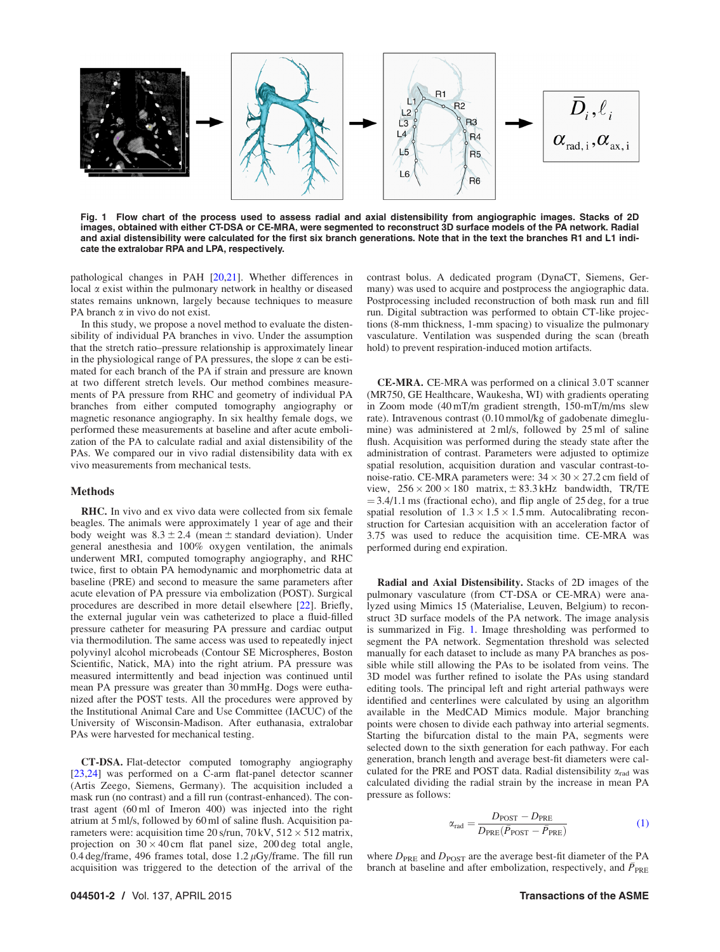<span id="page-1-0"></span>

Fig. 1 Flow chart of the process used to assess radial and axial distensibility from angiographic images. Stacks of 2D images, obtained with either CT-DSA or CE-MRA, were segmented to reconstruct 3D surface models of the PA network. Radial and axial distensibility were calculated for the first six branch generations. Note that in the text the branches R1 and L1 indicate the extralobar RPA and LPA, respectively.

pathological changes in PAH [\[20](#page-5-0),[21\]](#page-5-0). Whether differences in local  $\alpha$  exist within the pulmonary network in healthy or diseased states remains unknown, largely because techniques to measure PA branch  $\alpha$  in vivo do not exist.

In this study, we propose a novel method to evaluate the distensibility of individual PA branches in vivo. Under the assumption that the stretch ratio–pressure relationship is approximately linear in the physiological range of PA pressures, the slope  $\alpha$  can be estimated for each branch of the PA if strain and pressure are known at two different stretch levels. Our method combines measurements of PA pressure from RHC and geometry of individual PA branches from either computed tomography angiography or magnetic resonance angiography. In six healthy female dogs, we performed these measurements at baseline and after acute embolization of the PA to calculate radial and axial distensibility of the PAs. We compared our in vivo radial distensibility data with ex vivo measurements from mechanical tests.

### Methods

RHC. In vivo and ex vivo data were collected from six female beagles. The animals were approximately 1 year of age and their body weight was  $8.3 \pm 2.4$  (mean  $\pm$  standard deviation). Under general anesthesia and 100% oxygen ventilation, the animals underwent MRI, computed tomography angiography, and RHC twice, first to obtain PA hemodynamic and morphometric data at baseline (PRE) and second to measure the same parameters after acute elevation of PA pressure via embolization (POST). Surgical procedures are described in more detail elsewhere [[22\]](#page-5-0). Briefly, the external jugular vein was catheterized to place a fluid-filled pressure catheter for measuring PA pressure and cardiac output via thermodilution. The same access was used to repeatedly inject polyvinyl alcohol microbeads (Contour SE Microspheres, Boston Scientific, Natick, MA) into the right atrium. PA pressure was measured intermittently and bead injection was continued until mean PA pressure was greater than 30 mmHg. Dogs were euthanized after the POST tests. All the procedures were approved by the Institutional Animal Care and Use Committee (IACUC) of the University of Wisconsin-Madison. After euthanasia, extralobar PAs were harvested for mechanical testing.

CT-DSA. Flat-detector computed tomography angiography [[23,24](#page-5-0)] was performed on a C-arm flat-panel detector scanner (Artis Zeego, Siemens, Germany). The acquisition included a mask run (no contrast) and a fill run (contrast-enhanced). The contrast agent (60 ml of Imeron 400) was injected into the right atrium at 5 ml/s, followed by 60 ml of saline flush. Acquisition parameters were: acquisition time 20 s/run,  $70 \text{ kV}$ ,  $512 \times 512$  matrix, projection on  $30 \times 40$  cm flat panel size, 200 deg total angle, 0.4 deg/frame, 496 frames total, dose  $1.2 \mu Gy$ /frame. The fill run acquisition was triggered to the detection of the arrival of the

contrast bolus. A dedicated program (DynaCT, Siemens, Germany) was used to acquire and postprocess the angiographic data. Postprocessing included reconstruction of both mask run and fill run. Digital subtraction was performed to obtain CT-like projections (8-mm thickness, 1-mm spacing) to visualize the pulmonary vasculature. Ventilation was suspended during the scan (breath hold) to prevent respiration-induced motion artifacts.

CE-MRA. CE-MRA was performed on a clinical 3.0 T scanner (MR750, GE Healthcare, Waukesha, WI) with gradients operating in Zoom mode (40 mT/m gradient strength, 150-mT/m/ms slew rate). Intravenous contrast (0.10 mmol/kg of gadobenate dimeglumine) was administered at 2 ml/s, followed by 25 ml of saline flush. Acquisition was performed during the steady state after the administration of contrast. Parameters were adjusted to optimize spatial resolution, acquisition duration and vascular contrast-tonoise-ratio. CE-MRA parameters were:  $34 \times 30 \times 27.2$  cm field of view,  $256 \times 200 \times 180$  matrix,  $\pm 83.3$  kHz bandwidth, TR/TE  $=$  3.4/1.1 ms (fractional echo), and flip angle of 25 deg, for a true spatial resolution of  $1.3 \times 1.5 \times 1.5$  mm. Autocalibrating reconstruction for Cartesian acquisition with an acceleration factor of 3.75 was used to reduce the acquisition time. CE-MRA was performed during end expiration.

Radial and Axial Distensibility. Stacks of 2D images of the pulmonary vasculature (from CT-DSA or CE-MRA) were analyzed using Mimics 15 (Materialise, Leuven, Belgium) to reconstruct 3D surface models of the PA network. The image analysis is summarized in Fig. 1. Image thresholding was performed to segment the PA network. Segmentation threshold was selected manually for each dataset to include as many PA branches as possible while still allowing the PAs to be isolated from veins. The 3D model was further refined to isolate the PAs using standard editing tools. The principal left and right arterial pathways were identified and centerlines were calculated by using an algorithm available in the MedCAD Mimics module. Major branching points were chosen to divide each pathway into arterial segments. Starting the bifurcation distal to the main PA, segments were selected down to the sixth generation for each pathway. For each generation, branch length and average best-fit diameters were calculated for the PRE and POST data. Radial distensibility  $\alpha_{rad}$  was calculated dividing the radial strain by the increase in mean PA pressure as follows:

$$
\alpha_{\rm rad} = \frac{D_{\rm POST} - D_{\rm PRE}}{D_{\rm PRE}(\bar{P}_{\rm POST} - \bar{P}_{\rm PRE})}
$$
(1)

where  $D_{PRE}$  and  $D_{POST}$  are the average best-fit diameter of the PA branch at baseline and after embolization, respectively, and  $\bar{P}_{PRE}$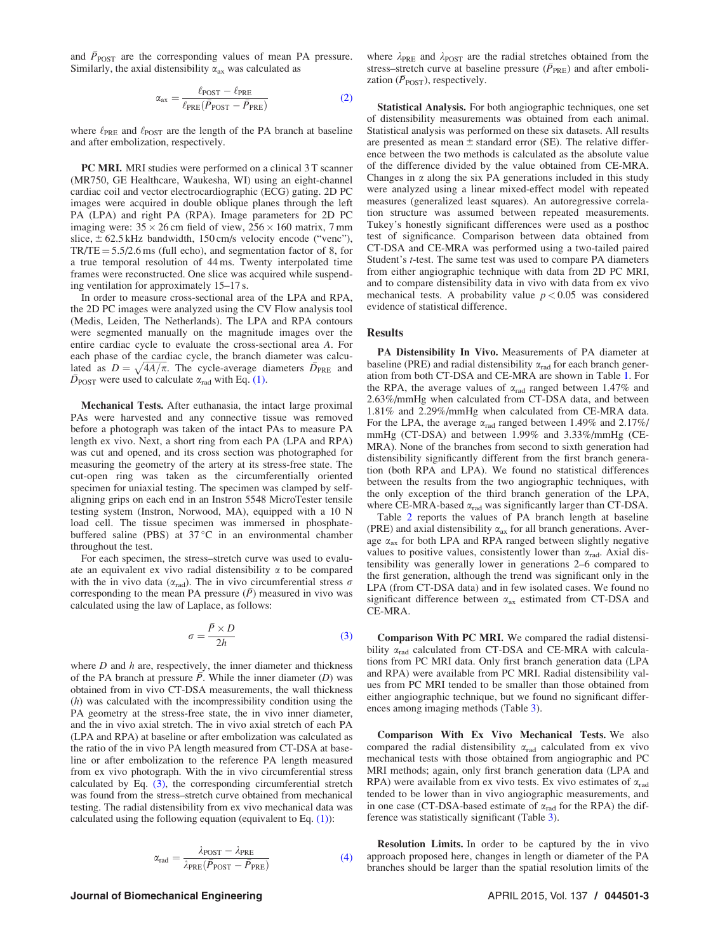and  $\bar{P}_{\text{POST}}$  are the corresponding values of mean PA pressure. Similarly, the axial distensibility  $\alpha_{ax}$  was calculated as

$$
\alpha_{\text{ax}} = \frac{\ell_{\text{POST}} - \ell_{\text{PRE}}}{\ell_{\text{PRE}}(\bar{P}_{\text{POST}} - \bar{P}_{\text{PRE}})}
$$
(2)

where  $\ell_{\text{PRE}}$  and  $\ell_{\text{POST}}$  are the length of the PA branch at baseline and after embolization, respectively.

PC MRI. MRI studies were performed on a clinical 3 T scanner (MR750, GE Healthcare, Waukesha, WI) using an eight-channel cardiac coil and vector electrocardiographic (ECG) gating. 2D PC images were acquired in double oblique planes through the left PA (LPA) and right PA (RPA). Image parameters for 2D PC imaging were:  $35 \times 26$  cm field of view,  $256 \times 160$  matrix, 7 mm slice,  $\pm$  62.5 kHz bandwidth, 150 cm/s velocity encode ("venc"),  $TR/TE = 5.5/2.6$  ms (full echo), and segmentation factor of 8, for a true temporal resolution of 44 ms. Twenty interpolated time frames were reconstructed. One slice was acquired while suspending ventilation for approximately 15–17 s.

In order to measure cross-sectional area of the LPA and RPA, the 2D PC images were analyzed using the CV Flow analysis tool (Medis, Leiden, The Netherlands). The LPA and RPA contours were segmented manually on the magnitude images over the entire cardiac cycle to evaluate the cross-sectional area A. For each phase of the cardiac cycle, the branch diameter was calcueach phase of the cardiac cycle, the branch diameter was calculated as  $D = \sqrt{4A/\pi}$ . The cycle-average diameters  $\overline{D}_{PRE}$  and  $\overline{D}_{\text{POST}}$  were used to calculate  $\alpha_{\text{rad}}$  with Eq. [\(1\)](#page-1-0).

Mechanical Tests. After euthanasia, the intact large proximal PAs were harvested and any connective tissue was removed before a photograph was taken of the intact PAs to measure PA length ex vivo. Next, a short ring from each PA (LPA and RPA) was cut and opened, and its cross section was photographed for measuring the geometry of the artery at its stress-free state. The cut-open ring was taken as the circumferentially oriented specimen for uniaxial testing. The specimen was clamped by selfaligning grips on each end in an Instron 5548 MicroTester tensile testing system (Instron, Norwood, MA), equipped with a 10 N load cell. The tissue specimen was immersed in phosphatebuffered saline (PBS) at  $37^{\circ}$ C in an environmental chamber throughout the test.

For each specimen, the stress–stretch curve was used to evaluate an equivalent ex vivo radial distensibility  $\alpha$  to be compared with the in vivo data ( $\alpha_{\rm rad}$ ). The in vivo circumferential stress  $\sigma$ corresponding to the mean PA pressure  $(\bar{P})$  measured in vivo was calculated using the law of Laplace, as follows:

$$
\sigma = \frac{\bar{P} \times D}{2h} \tag{3}
$$

where  $D$  and  $h$  are, respectively, the inner diameter and thickness of the PA branch at pressure  $P$ . While the inner diameter  $(D)$  was obtained from in vivo CT-DSA measurements, the wall thickness (h) was calculated with the incompressibility condition using the PA geometry at the stress-free state, the in vivo inner diameter, and the in vivo axial stretch. The in vivo axial stretch of each PA (LPA and RPA) at baseline or after embolization was calculated as the ratio of the in vivo PA length measured from CT-DSA at baseline or after embolization to the reference PA length measured from ex vivo photograph. With the in vivo circumferential stress calculated by Eq. (3), the corresponding circumferential stretch was found from the stress–stretch curve obtained from mechanical testing. The radial distensibility from ex vivo mechanical data was calculated using the following equation (equivalent to Eq. [\(1\)](#page-1-0)):

$$
\alpha_{\rm rad} = \frac{\lambda_{\rm POST} - \lambda_{\rm PRE}}{\lambda_{\rm PRE}(\bar{P}_{\rm POST} - \bar{P}_{\rm PRE})}
$$
(4)

### Journal of Biomechanical Engineering APRIL 2015, Vol. 137 / 044501-3

where  $\lambda_{PRE}$  and  $\lambda_{POST}$  are the radial stretches obtained from the stress–stretch curve at baseline pressure ( $\bar{P}_{PRE}$ ) and after embolization ( $\bar{P}_{\text{POST}}$ ), respectively.

Statistical Analysis. For both angiographic techniques, one set of distensibility measurements was obtained from each animal. Statistical analysis was performed on these six datasets. All results are presented as mean  $\pm$  standard error (SE). The relative difference between the two methods is calculated as the absolute value of the difference divided by the value obtained from CE-MRA. Changes in  $\alpha$  along the six PA generations included in this study were analyzed using a linear mixed-effect model with repeated measures (generalized least squares). An autoregressive correlation structure was assumed between repeated measurements. Tukey's honestly significant differences were used as a posthoc test of significance. Comparison between data obtained from CT-DSA and CE-MRA was performed using a two-tailed paired Student's t-test. The same test was used to compare PA diameters from either angiographic technique with data from 2D PC MRI, and to compare distensibility data in vivo with data from ex vivo mechanical tests. A probability value  $p < 0.05$  was considered evidence of statistical difference.

#### Results

PA Distensibility In Vivo. Measurements of PA diameter at baseline (PRE) and radial distensibility  $\alpha_{rad}$  for each branch generation from both CT-DSA and CE-MRA are shown in Table [1.](#page-3-0) For the RPA, the average values of  $\alpha_{\rm rad}$  ranged between 1.47% and 2.63%/mmHg when calculated from CT-DSA data, and between 1.81% and 2.29%/mmHg when calculated from CE-MRA data. For the LPA, the average  $\alpha_{rad}$  ranged between 1.49% and 2.17%/ mmHg (CT-DSA) and between 1.99% and 3.33%/mmHg (CE-MRA). None of the branches from second to sixth generation had distensibility significantly different from the first branch generation (both RPA and LPA). We found no statistical differences between the results from the two angiographic techniques, with the only exception of the third branch generation of the LPA, where CE-MRA-based  $\alpha_{rad}$  was significantly larger than CT-DSA.

Table [2](#page-3-0) reports the values of PA branch length at baseline (PRE) and axial distensibility  $\alpha_{ax}$  for all branch generations. Average  $\alpha_{ax}$  for both LPA and RPA ranged between slightly negative values to positive values, consistently lower than  $\alpha_{rad}$ . Axial distensibility was generally lower in generations 2–6 compared to the first generation, although the trend was significant only in the LPA (from CT-DSA data) and in few isolated cases. We found no significant difference between  $\alpha_{ax}$  estimated from CT-DSA and CE-MRA.

Comparison With PC MRI. We compared the radial distensibility  $\alpha_{rad}$  calculated from CT-DSA and CE-MRA with calculations from PC MRI data. Only first branch generation data (LPA and RPA) were available from PC MRI. Radial distensibility values from PC MRI tended to be smaller than those obtained from either angiographic technique, but we found no significant differences among imaging methods (Table [3](#page-3-0)).

Comparison With Ex Vivo Mechanical Tests. We also compared the radial distensibility  $\alpha_{rad}$  calculated from ex vivo mechanical tests with those obtained from angiographic and PC MRI methods; again, only first branch generation data (LPA and RPA) were available from ex vivo tests. Ex vivo estimates of  $\alpha_{rad}$ tended to be lower than in vivo angiographic measurements, and in one case (CT-DSA-based estimate of  $\alpha_{rad}$  for the RPA) the difference was statistically significant (Table [3\)](#page-3-0).

Resolution Limits. In order to be captured by the in vivo approach proposed here, changes in length or diameter of the PA branches should be larger than the spatial resolution limits of the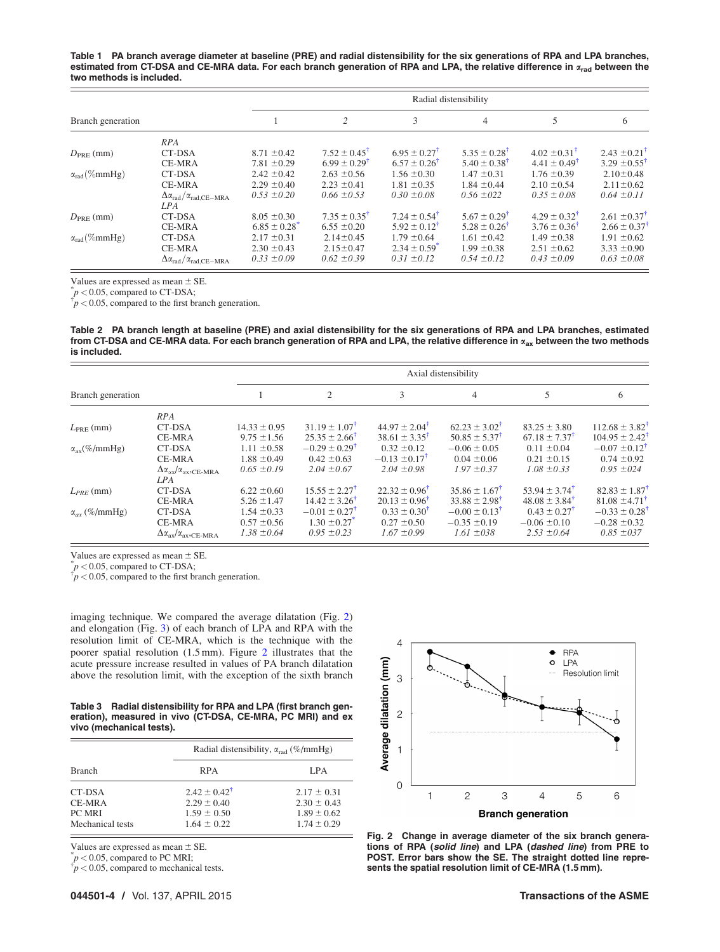<span id="page-3-0"></span>Table 1 PA branch average diameter at baseline (PRE) and radial distensibility for the six generations of RPA and LPA branches, estimated from CT-DSA and CE-MRA data. For each branch generation of RPA and LPA, the relative difference in  $x_{rad}$  between the two methods is included.

|                        |                                                             | Radial distensibility |                              |                              |                              |                              |                              |  |
|------------------------|-------------------------------------------------------------|-----------------------|------------------------------|------------------------------|------------------------------|------------------------------|------------------------------|--|
| Branch generation      |                                                             |                       | 2                            | 3                            | 4                            | 5                            | 6                            |  |
|                        | RPA                                                         |                       |                              |                              |                              |                              |                              |  |
| $D_{PRE}(mm)$          | CT-DSA                                                      | $8.71 \pm 0.42$       | $7.52 \pm 0.45^{\dagger}$    | $6.95 \pm 0.27^{\dagger}$    | $5.35 \pm 0.28^{\dagger}$    | $4.02 \pm 0.31^{\dagger}$    | $2.43 \pm 0.21^{\dagger}$    |  |
|                        | <b>CE-MRA</b>                                               | $7.81 \pm 0.29$       | $6.99 \pm 0.29$ <sup>t</sup> | $6.57 \pm 0.26$ <sup>†</sup> | $5.40 \pm 0.38$ <sup>T</sup> | $4.41 \pm 0.49$ <sup>t</sup> | $3.29 \pm 0.55^{\dagger}$    |  |
| $\alpha_{rad}(\%mmHg)$ | CT-DSA                                                      | $2.42 \pm 0.42$       | $2.63 \pm 0.56$              | $1.56 \pm 0.30$              | $1.47 \pm 0.31$              | $1.76 \pm 0.39$              | $2.10 \pm 0.48$              |  |
|                        | <b>CE-MRA</b>                                               | $2.29 \pm 0.40$       | $2.23 \pm 0.41$              | $1.81 \pm 0.35$              | $1.84 \pm 0.44$              | $2.10 \pm 0.54$              | $2.11 \pm 0.62$              |  |
|                        | $\Delta \alpha_{\rm rad} / \alpha_{\rm rad, CE-MRA}$<br>LPA | $0.53 \pm 0.20$       | $0.66 \pm 0.53$              | $0.30 \pm 0.08$              | $0.56 \pm 0.22$              | $0.35 \pm 0.08$              | $0.64 \pm 0.11$              |  |
| $D_{PRE}$ (mm)         | CT-DSA                                                      | $8.05 \pm 0.30$       | $7.35 \pm 0.35^{\dagger}$    | $7.24 \pm 0.54^{\dagger}$    | $5.67 \pm 0.29$ <sup>†</sup> | $4.29 \pm 0.32^{\dagger}$    | $2.61 \pm 0.37$ <sup>†</sup> |  |
|                        | <b>CE-MRA</b>                                               | $6.85 \pm 0.28$       | $6.55 \pm 0.20$              | $5.92 \pm 0.12^{\dagger}$    | $5.28 \pm 0.26$ <sup>T</sup> | $3.76 \pm 0.36$ <sup>T</sup> | $2.66 \pm 0.37$              |  |
| $\alpha_{rad}(\%mmHg)$ | CT-DSA                                                      | $2.17 \pm 0.31$       | $2.14 \pm 0.45$              | $1.79 \pm 0.64$              | $1.61 \pm 0.42$              | $1.49 \pm 0.38$              | $1.91 \pm 0.62$              |  |
|                        | <b>CE-MRA</b>                                               | $2.30 \pm 0.43$       | $2.15 \pm 0.47$              | $2.34 \pm 0.59$ <sup>*</sup> | $1.99 \pm 0.38$              | $2.51 \pm 0.62$              | $3.33 \pm 0.90$              |  |
|                        | $\Delta \alpha_{\rm rad} / \alpha_{\rm rad, CE-MRA}$        | $0.33 \pm 0.09$       | $0.62 \pm 0.39$              | $0.31 \pm 0.12$              | $0.54 \pm 0.12$              | $0.43 \pm 0.09$              | $0.63 \pm 0.08$              |  |

Values are expressed as mean  $\pm$  SE.

 $p < 0.05$ , compared to CT-DSA;

 $\phi p < 0.05$ , compared to the first branch generation.

Table 2 PA branch length at baseline (PRE) and axial distensibility for the six generations of RPA and LPA branches, estimated from CT-DSA and CE-MRA data. For each branch generation of RPA and LPA, the relative difference in  $\alpha_{ax}$  between the two methods is included.

|                            |                                                      | Axial distensibility |                            |                            |                               |                            |                               |
|----------------------------|------------------------------------------------------|----------------------|----------------------------|----------------------------|-------------------------------|----------------------------|-------------------------------|
| Branch generation          |                                                      |                      | $\mathfrak{2}$             | 3                          | $\overline{4}$                | 5                          | 6                             |
|                            | RPA                                                  |                      |                            |                            |                               |                            |                               |
| $L_{PRE}$ (mm)             | CT-DSA                                               | $14.33 \pm 0.95$     | $31.19 \pm 1.07^{\dagger}$ | $44.97 \pm 2.04^{\dagger}$ | $62.23 \pm 3.02^{\dagger}$    | $83.25 \pm 3.80$           | $112.68 \pm 3.82^{\dagger}$   |
|                            | <b>CE-MRA</b>                                        | $9.75 \pm 1.56$      | $25.35 \pm 2.66^{\dagger}$ | $38.61 \pm 3.35^{\dagger}$ | $50.85 \pm 5.37^{\dagger}$    | $67.18 \pm 7.37^{\dagger}$ | $104.95 \pm 2.42$             |
| $\alpha_{\rm ax}$ (%/mmHg) | CT-DSA                                               | $1.11 \pm 0.58$      | $-0.29 \pm 0.29^{\dagger}$ | $0.32 \pm 0.12$            | $-0.06 \pm 0.05$              | $0.11 \pm 0.04$            | $-0.07 \pm 0.12$ <sup>†</sup> |
|                            | <b>CE-MRA</b>                                        | $1.88 \pm 0.49$      | $0.42 \pm 0.63$            | $-0.13 \pm 0.17^{\dagger}$ | $0.04 \pm 0.06$               | $0.21 \pm 0.15$            | $0.74 \pm 0.92$               |
|                            | $\Delta \alpha_{\alpha x}/\alpha_{\alpha x},$ CE-MRA | $0.65 \pm 0.19$      | $2.04 \pm 0.67$            | $2.04 \pm 0.98$            | $1.97 \pm 0.37$               | $1.08 \pm 0.33$            | $0.95 \pm 0.024$              |
|                            | LPA                                                  |                      |                            |                            |                               |                            |                               |
| $L_{PRE}$ (mm)             | CT-DSA                                               | $6.22 \pm 0.60$      | $15.55 \pm 2.27^{\dagger}$ | $22.32 \pm 0.96^{\dagger}$ | $35.86 \pm 1.67^{\dagger}$    | $53.94 \pm 3.74^{\dagger}$ | $82.83 \pm 1.87$ <sup>t</sup> |
|                            | <b>CE-MRA</b>                                        | $5.26 \pm 1.47$      | $14.42 \pm 3.26^{\dagger}$ | $20.13 \pm 0.96^{\dagger}$ | $33.88 \pm 2.98$ <sup>†</sup> | $48.08 \pm 3.84^{\dagger}$ | $81.08 \pm 4.71$ <sup>†</sup> |
| $\alpha_{ax}$ (%/mmHg)     | CT-DSA                                               | $1.54 \pm 0.33$      | $-0.01 \pm 0.27^{\dagger}$ | $0.33 \pm 0.30^{\dagger}$  | $-0.00 \pm 0.13^{\dagger}$    | $0.43 \pm 0.27^{\dagger}$  | $-0.33 \pm 0.28$              |
|                            | <b>CE-MRA</b>                                        | $0.57 \pm 0.56$      | $1.30 \pm 0.27$            | $0.27 \pm 0.50$            | $-0.35 \pm 0.19$              | $-0.06 \pm 0.10$           | $-0.28 \pm 0.32$              |
|                            | $\Delta \alpha_{ax}/\alpha_{ax},$ CE-MRA             | $1.38 \pm 0.64$      | $0.95 \pm 0.23$            | $1.67 \pm 0.99$            | $1.61 \pm 0.38$               | $2.53 \pm 0.64$            | $0.85 \pm 0.37$               |

Values are expressed as mean  $\pm$  SE.

 $p < 0.05$ , compared to CT-DSA;

 $\bar{p}$  < 0.05, compared to the first branch generation.

imaging technique. We compared the average dilatation (Fig. 2) and elongation (Fig. [3](#page-4-0)) of each branch of LPA and RPA with the resolution limit of CE-MRA, which is the technique with the poorer spatial resolution (1.5 mm). Figure 2 illustrates that the acute pressure increase resulted in values of PA branch dilatation above the resolution limit, with the exception of the sixth branch

Table 3 Radial distensibility for RPA and LPA (first branch generation), measured in vivo (CT-DSA, CE-MRA, PC MRI) and ex vivo (mechanical tests).

|                  | Radial distensibility, $\alpha_{rad}$ (%/mmHg) |                 |  |  |
|------------------|------------------------------------------------|-----------------|--|--|
| <b>Branch</b>    | <b>RPA</b>                                     | LPA             |  |  |
| CT-DSA           | $2.42 \pm 0.42^{\dagger}$                      | $2.17 \pm 0.31$ |  |  |
| CE-MRA           | $2.29 \pm 0.40$                                | $2.30 \pm 0.43$ |  |  |
| <b>PC MRI</b>    | $1.59 \pm 0.50$                                | $1.89 \pm 0.62$ |  |  |
| Mechanical tests | $1.64 \pm 0.22$                                | $1.74 \pm 0.29$ |  |  |

Values are expressed as mean  $\pm$  SE.

 $p < 0.05$ , compared to PC MRI;

 $\tau_p$  < 0.05, compared to mechanical tests.

044501-4 / Vol. 137, APRIL 2015 Transactions of the ASME



Fig. 2 Change in average diameter of the six branch generations of RPA (solid line) and LPA (dashed line) from PRE to POST. Error bars show the SE. The straight dotted line represents the spatial resolution limit of CE-MRA (1.5 mm).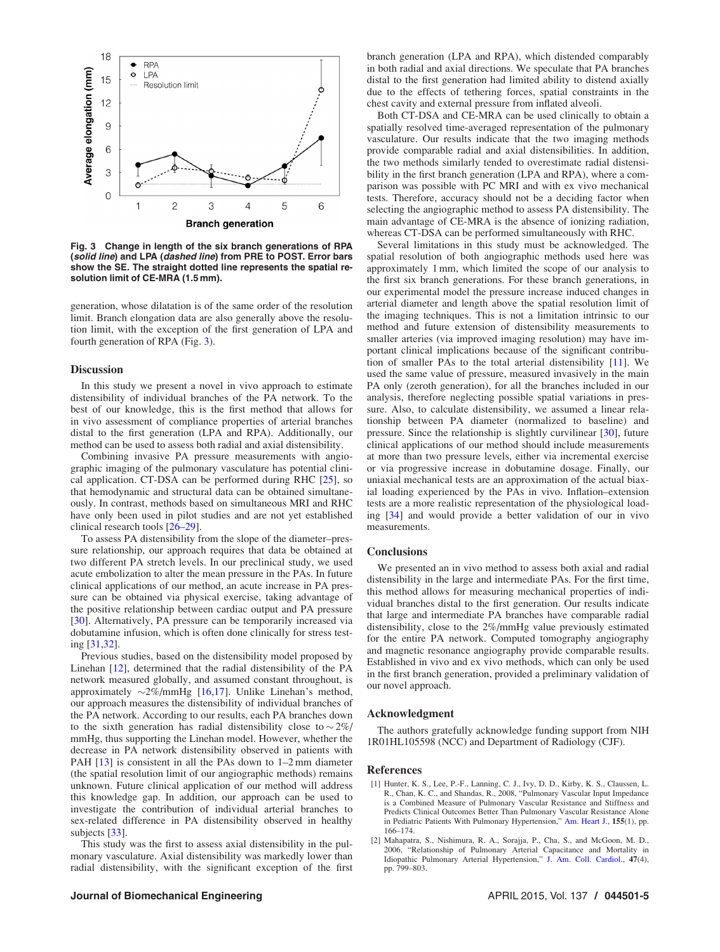<span id="page-4-0"></span>

Fig. 3 Change in length of the six branch generations of RPA (solid line) and LPA (dashed line) from PRE to POST. Error bars show the SE. The straight dotted line represents the spatial resolution limit of CE-MRA (1.5 mm).

generation, whose dilatation is of the same order of the resolution limit. Branch elongation data are also generally above the resolution limit, with the exception of the first generation of LPA and fourth generation of RPA (Fig. 3).

### **Discussion**

In this study we present a novel in vivo approach to estimate distensibility of individual branches of the PA network. To the best of our knowledge, this is the first method that allows for in vivo assessment of compliance properties of arterial branches distal to the first generation (LPA and RPA). Additionally, our method can be used to assess both radial and axial distensibility.

Combining invasive PA pressure measurements with angiographic imaging of the pulmonary vasculature has potential clinical application. CT-DSA can be performed during RHC [[25\]](#page-5-0), so that hemodynamic and structural data can be obtained simultaneously. In contrast, methods based on simultaneous MRI and RHC have only been used in pilot studies and are not yet established clinical research tools [\[26–29\]](#page-5-0).

To assess PA distensibility from the slope of the diameter–pressure relationship, our approach requires that data be obtained at two different PA stretch levels. In our preclinical study, we used acute embolization to alter the mean pressure in the PAs. In future clinical applications of our method, an acute increase in PA pressure can be obtained via physical exercise, taking advantage of the positive relationship between cardiac output and PA pressure [[30](#page-5-0)]. Alternatively, PA pressure can be temporarily increased via dobutamine infusion, which is often done clinically for stress testing [[31,32](#page-5-0)].

Previous studies, based on the distensibility model proposed by Linehan [[12\]](#page-5-0), determined that the radial distensibility of the PA network measured globally, and assumed constant throughout, is approximately  $\sim$ 2%/mmHg [[16,17](#page-5-0)]. Unlike Linehan's method, our approach measures the distensibility of individual branches of the PA network. According to our results, each PA branches down to the sixth generation has radial distensibility close to  $\sim$  2%/ mmHg, thus supporting the Linehan model. However, whether the decrease in PA network distensibility observed in patients with PAH [\[13](#page-5-0)] is consistent in all the PAs down to 1–2 mm diameter (the spatial resolution limit of our angiographic methods) remains unknown. Future clinical application of our method will address this knowledge gap. In addition, our approach can be used to investigate the contribution of individual arterial branches to sex-related difference in PA distensibility observed in healthy subjects [\[33](#page-5-0)].

This study was the first to assess axial distensibility in the pulmonary vasculature. Axial distensibility was markedly lower than radial distensibility, with the significant exception of the first

branch generation (LPA and RPA), which distended comparably in both radial and axial directions. We speculate that PA branches distal to the first generation had limited ability to distend axially due to the effects of tethering forces, spatial constraints in the chest cavity and external pressure from inflated alveoli.

Both CT-DSA and CE-MRA can be used clinically to obtain a spatially resolved time-averaged representation of the pulmonary vasculature. Our results indicate that the two imaging methods provide comparable radial and axial distensibilities. In addition, the two methods similarly tended to overestimate radial distensibility in the first branch generation (LPA and RPA), where a comparison was possible with PC MRI and with ex vivo mechanical tests. Therefore, accuracy should not be a deciding factor when selecting the angiographic method to assess PA distensibility. The main advantage of CE-MRA is the absence of ionizing radiation, whereas CT-DSA can be performed simultaneously with RHC.

Several limitations in this study must be acknowledged. The spatial resolution of both angiographic methods used here was approximately 1 mm, which limited the scope of our analysis to the first six branch generations. For these branch generations, in our experimental model the pressure increase induced changes in arterial diameter and length above the spatial resolution limit of the imaging techniques. This is not a limitation intrinsic to our method and future extension of distensibility measurements to smaller arteries (via improved imaging resolution) may have important clinical implications because of the significant contribution of smaller PAs to the total arterial distensibility [\[11](#page-5-0)]. We used the same value of pressure, measured invasively in the main PA only (zeroth generation), for all the branches included in our analysis, therefore neglecting possible spatial variations in pressure. Also, to calculate distensibility, we assumed a linear relationship between PA diameter (normalized to baseline) and pressure. Since the relationship is slightly curvilinear [\[30](#page-5-0)], future clinical applications of our method should include measurements at more than two pressure levels, either via incremental exercise or via progressive increase in dobutamine dosage. Finally, our uniaxial mechanical tests are an approximation of the actual biaxial loading experienced by the PAs in vivo. Inflation–extension tests are a more realistic representation of the physiological loading [[34\]](#page-5-0) and would provide a better validation of our in vivo measurements.

## **Conclusions**

We presented an in vivo method to assess both axial and radial distensibility in the large and intermediate PAs. For the first time, this method allows for measuring mechanical properties of individual branches distal to the first generation. Our results indicate that large and intermediate PA branches have comparable radial distensibility, close to the 2%/mmHg value previously estimated for the entire PA network. Computed tomography angiography and magnetic resonance angiography provide comparable results. Established in vivo and ex vivo methods, which can only be used in the first branch generation, provided a preliminary validation of our novel approach.

#### Acknowledgment

The authors gratefully acknowledge funding support from NIH 1R01HL105598 (NCC) and Department of Radiology (CJF).

### References

- [1] Hunter, K. S., Lee, P.-F., Lanning, C. J., Ivy, D. D., Kirby, K. S., Claussen, L. R., Chan, K. C., and Shandas, R., 2008, "Pulmonary Vascular Input Impedance is a Combined Measure of Pulmonary Vascular Resistance and Stiffness and Predicts Clinical Outcomes Better Than Pulmonary Vascular Resistance Alone in Pediatric Patients With Pulmonary Hypertension," [Am. Heart J.,](http://dx.doi.org/10.1016/j.ahj.2007.08.014) 155(1), pp. 166–174.
- [2] Mahapatra, S., Nishimura, R. A., Sorajja, P., Cha, S., and McGoon, M. D., 2006, "Relationship of Pulmonary Arterial Capacitance and Mortality in Idiopathic Pulmonary Arterial Hypertension," [J. Am. Coll. Cardiol.,](http://dx.doi.org/10.1016/j.jacc.2005.09.054) 47(4), pp. 799–803.